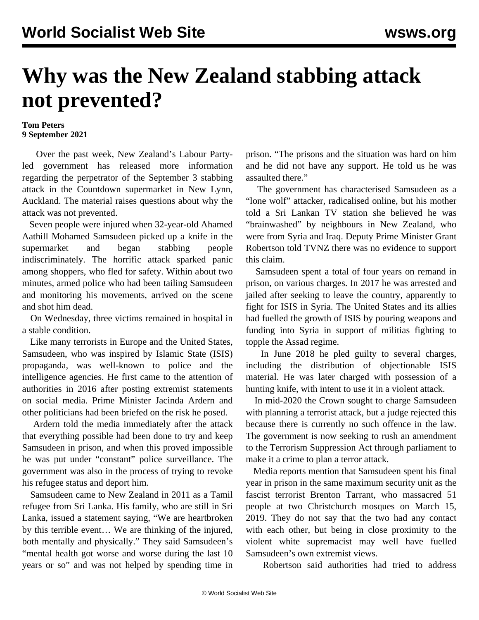## **Why was the New Zealand stabbing attack not prevented?**

## **Tom Peters 9 September 2021**

 Over the past week, New Zealand's Labour Partyled government has released more information regarding the perpetrator of the September 3 stabbing [attack](/en/articles/2021/09/04/terr-s04.html) in the Countdown supermarket in New Lynn, Auckland. The material raises questions about why the attack was not prevented.

 Seven people were injured when 32-year-old Ahamed Aathill Mohamed Samsudeen picked up a knife in the supermarket and began stabbing people indiscriminately. The horrific attack sparked panic among shoppers, who fled for safety. Within about two minutes, armed police who had been tailing Samsudeen and monitoring his movements, arrived on the scene and shot him dead.

 On Wednesday, three victims remained in hospital in a stable condition.

 Like many terrorists in Europe and the United States, Samsudeen, who was inspired by Islamic State (ISIS) propaganda, was well-known to police and the intelligence agencies. He first came to the attention of authorities in 2016 after posting extremist statements on social media. Prime Minister Jacinda Ardern and other politicians had been briefed on the risk he posed.

 Ardern told the media immediately after the attack that everything possible had been done to try and keep Samsudeen in prison, and when this proved impossible he was put under "constant" police surveillance. The government was also in the process of trying to revoke his refugee status and deport him.

 Samsudeen came to New Zealand in 2011 as a Tamil refugee from Sri Lanka. His family, who are still in Sri Lanka, issued a statement saying, "We are heartbroken by this terrible event… We are thinking of the injured, both mentally and physically." They said Samsudeen's "mental health got worse and worse during the last 10 years or so" and was not helped by spending time in prison. "The prisons and the situation was hard on him and he did not have any support. He told us he was assaulted there."

 The government has characterised Samsudeen as a "lone wolf" attacker, radicalised online, but his mother told a Sri Lankan TV station she believed he was "brainwashed" by neighbours in New Zealand, who were from Syria and Iraq. Deputy Prime Minister Grant Robertson told TVNZ there was no evidence to support this claim.

 Samsudeen spent a total of four years on remand in prison, on various charges. In 2017 he was arrested and jailed after seeking to leave the country, apparently to fight for ISIS in Syria. The United States and its allies had fuelled the growth of ISIS by pouring weapons and funding into Syria in support of militias fighting to topple the Assad regime.

 In June 2018 he pled guilty to several charges, including the distribution of objectionable ISIS material. He was later charged with possession of a hunting knife, with intent to use it in a violent attack.

 In mid-2020 the Crown sought to charge Samsudeen with planning a terrorist attack, but a judge rejected this because there is currently no such offence in the law. The government is now seeking to rush an amendment to the Terrorism Suppression Act through parliament to make it a crime to plan a terror attack.

 Media reports mention that Samsudeen spent his final year in prison in the same maximum security unit as the fascist terrorist Brenton Tarrant, who massacred 51 people at two Christchurch mosques on March 15, 2019. They do not say that the two had any contact with each other, but being in close proximity to the violent white supremacist may well have fuelled Samsudeen's own extremist views.

Robertson said authorities had tried to address